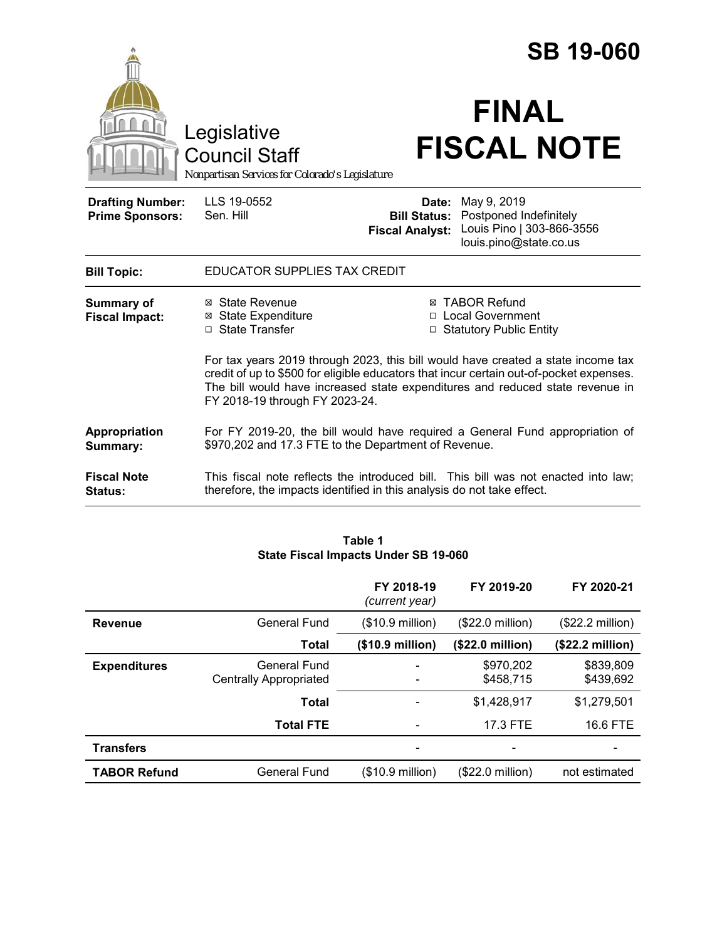|                                                   |                                                                                                                                                                                                                                                                                                | <b>SB 19-060</b>                                                         |                                                                                              |  |  |
|---------------------------------------------------|------------------------------------------------------------------------------------------------------------------------------------------------------------------------------------------------------------------------------------------------------------------------------------------------|--------------------------------------------------------------------------|----------------------------------------------------------------------------------------------|--|--|
|                                                   | Legislative<br><b>Council Staff</b><br>Nonpartisan Services for Colorado's Legislature                                                                                                                                                                                                         |                                                                          | <b>FINAL</b><br><b>FISCAL NOTE</b>                                                           |  |  |
| <b>Drafting Number:</b><br><b>Prime Sponsors:</b> | LLS 19-0552<br>Sen. Hill                                                                                                                                                                                                                                                                       | Date:<br><b>Bill Status:</b><br><b>Fiscal Analyst:</b>                   | May 9, 2019<br>Postponed Indefinitely<br>Louis Pino   303-866-3556<br>louis.pino@state.co.us |  |  |
| <b>Bill Topic:</b>                                | <b>EDUCATOR SUPPLIES TAX CREDIT</b>                                                                                                                                                                                                                                                            |                                                                          |                                                                                              |  |  |
| <b>Summary of</b><br><b>Fiscal Impact:</b>        | ⊠ State Revenue<br><b>⊠</b> State Expenditure<br>□ State Transfer                                                                                                                                                                                                                              | <b>⊠ TABOR Refund</b><br>□ Local Government<br>□ Statutory Public Entity |                                                                                              |  |  |
|                                                   | For tax years 2019 through 2023, this bill would have created a state income tax<br>credit of up to \$500 for eligible educators that incur certain out-of-pocket expenses.<br>The bill would have increased state expenditures and reduced state revenue in<br>FY 2018-19 through FY 2023-24. |                                                                          |                                                                                              |  |  |
| <b>Appropriation</b><br>Summary:                  | For FY 2019-20, the bill would have required a General Fund appropriation of<br>\$970,202 and 17.3 FTE to the Department of Revenue.                                                                                                                                                           |                                                                          |                                                                                              |  |  |
| <b>Fiscal Note</b><br>Status:                     | therefore, the impacts identified in this analysis do not take effect.                                                                                                                                                                                                                         |                                                                          | This fiscal note reflects the introduced bill. This bill was not enacted into law;           |  |  |

#### **Table 1 State Fiscal Impacts Under SB 19-060**

|                     |                                               | FY 2018-19<br>(current year) | FY 2019-20                | FY 2020-21                |
|---------------------|-----------------------------------------------|------------------------------|---------------------------|---------------------------|
| <b>Revenue</b>      | General Fund                                  | (\$10.9 million)             | $($22.0 \text{ million})$ | $($22.2 \text{ million})$ |
|                     | Total                                         | $($10.9 \text{ million})$    | (\$22.0 million)          | $($22.2 \text{ million})$ |
| <b>Expenditures</b> | General Fund<br><b>Centrally Appropriated</b> |                              | \$970,202<br>\$458,715    | \$839,809<br>\$439,692    |
|                     | <b>Total</b>                                  |                              | \$1,428,917               | \$1,279,501               |
|                     | <b>Total FTE</b>                              |                              | 17.3 FTE                  | 16.6 FTE                  |
| <b>Transfers</b>    |                                               |                              |                           |                           |
| <b>TABOR Refund</b> | General Fund                                  | (\$10.9 million)             | (\$22.0 million)          | not estimated             |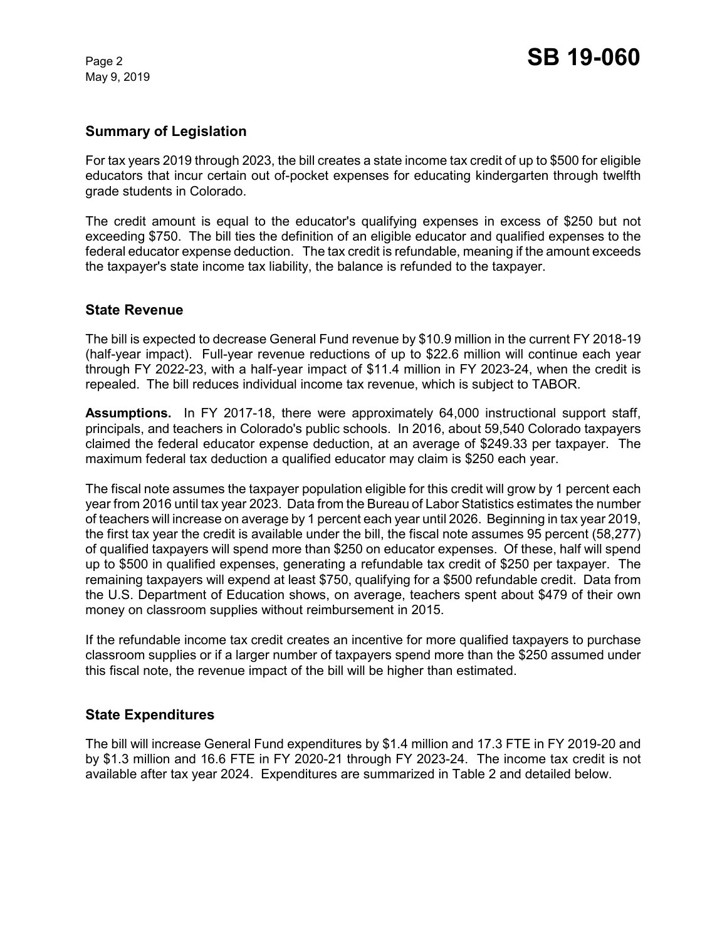May 9, 2019

### **Summary of Legislation**

For tax years 2019 through 2023, the bill creates a state income tax credit of up to \$500 for eligible educators that incur certain out of-pocket expenses for educating kindergarten through twelfth grade students in Colorado.

The credit amount is equal to the educator's qualifying expenses in excess of \$250 but not exceeding \$750. The bill ties the definition of an eligible educator and qualified expenses to the federal educator expense deduction. The tax credit is refundable, meaning if the amount exceeds the taxpayer's state income tax liability, the balance is refunded to the taxpayer.

# **State Revenue**

The bill is expected to decrease General Fund revenue by \$10.9 million in the current FY 2018-19 (half-year impact). Full-year revenue reductions of up to \$22.6 million will continue each year through FY 2022-23, with a half-year impact of \$11.4 million in FY 2023-24, when the credit is repealed. The bill reduces individual income tax revenue, which is subject to TABOR.

**Assumptions.** In FY 2017-18, there were approximately 64,000 instructional support staff, principals, and teachers in Colorado's public schools. In 2016, about 59,540 Colorado taxpayers claimed the federal educator expense deduction, at an average of \$249.33 per taxpayer. The maximum federal tax deduction a qualified educator may claim is \$250 each year.

The fiscal note assumes the taxpayer population eligible for this credit will grow by 1 percent each year from 2016 until tax year 2023. Data from the Bureau of Labor Statistics estimates the number of teachers will increase on average by 1 percent each year until 2026. Beginning in tax year 2019, the first tax year the credit is available under the bill, the fiscal note assumes 95 percent (58,277) of qualified taxpayers will spend more than \$250 on educator expenses. Of these, half will spend up to \$500 in qualified expenses, generating a refundable tax credit of \$250 per taxpayer. The remaining taxpayers will expend at least \$750, qualifying for a \$500 refundable credit. Data from the U.S. Department of Education shows, on average, teachers spent about \$479 of their own money on classroom supplies without reimbursement in 2015.

If the refundable income tax credit creates an incentive for more qualified taxpayers to purchase classroom supplies or if a larger number of taxpayers spend more than the \$250 assumed under this fiscal note, the revenue impact of the bill will be higher than estimated.

# **State Expenditures**

The bill will increase General Fund expenditures by \$1.4 million and 17.3 FTE in FY 2019-20 and by \$1.3 million and 16.6 FTE in FY 2020-21 through FY 2023-24. The income tax credit is not available after tax year 2024. Expenditures are summarized in Table 2 and detailed below.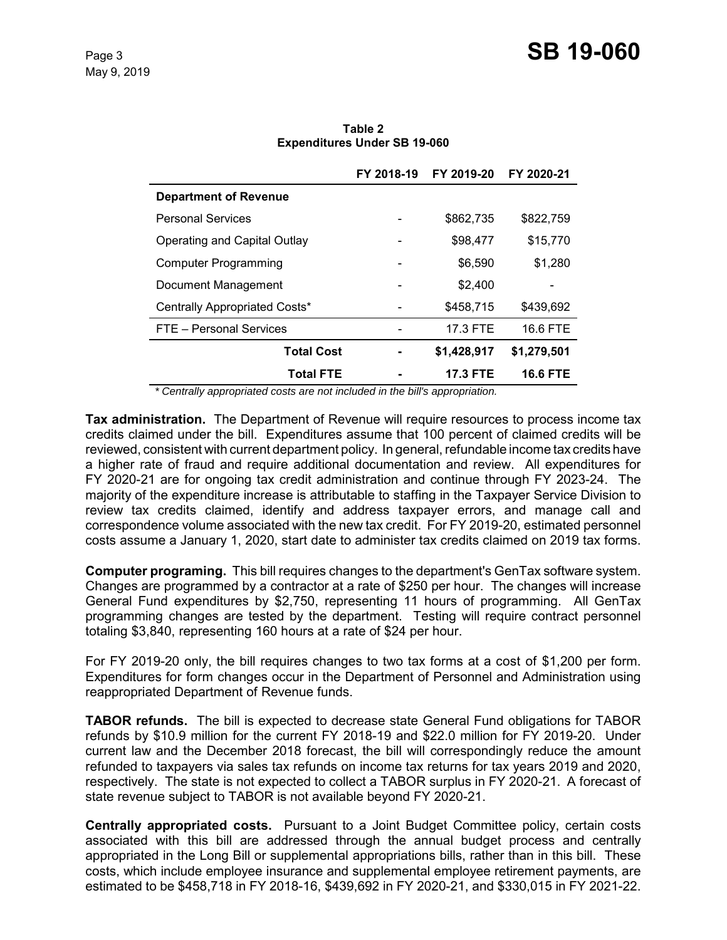|                               | FY 2018-19 | FY 2019-20      | FY 2020-21      |
|-------------------------------|------------|-----------------|-----------------|
| <b>Department of Revenue</b>  |            |                 |                 |
| <b>Personal Services</b>      |            | \$862,735       | \$822,759       |
| Operating and Capital Outlay  |            | \$98,477        | \$15,770        |
| <b>Computer Programming</b>   |            | \$6,590         | \$1,280         |
| Document Management           |            | \$2,400         |                 |
| Centrally Appropriated Costs* |            | \$458,715       | \$439,692       |
| FTE - Personal Services       |            | 17.3 FTE        | 16.6 FTE        |
| <b>Total Cost</b>             |            | \$1,428,917     | \$1,279,501     |
| <b>Total FTE</b>              |            | <b>17.3 FTE</b> | <b>16.6 FTE</b> |

**Table 2 Expenditures Under SB 19-060**

 *\* Centrally appropriated costs are not included in the bill's appropriation.*

**Tax administration.** The Department of Revenue will require resources to process income tax credits claimed under the bill. Expenditures assume that 100 percent of claimed credits will be reviewed, consistent with current department policy. In general, refundable income tax credits have a higher rate of fraud and require additional documentation and review. All expenditures for FY 2020-21 are for ongoing tax credit administration and continue through FY 2023-24. The majority of the expenditure increase is attributable to staffing in the Taxpayer Service Division to review tax credits claimed, identify and address taxpayer errors, and manage call and correspondence volume associated with the new tax credit. For FY 2019-20, estimated personnel costs assume a January 1, 2020, start date to administer tax credits claimed on 2019 tax forms.

**Computer programing.** This bill requires changes to the department's GenTax software system. Changes are programmed by a contractor at a rate of \$250 per hour. The changes will increase General Fund expenditures by \$2,750, representing 11 hours of programming. All GenTax programming changes are tested by the department. Testing will require contract personnel totaling \$3,840, representing 160 hours at a rate of \$24 per hour.

For FY 2019-20 only, the bill requires changes to two tax forms at a cost of \$1,200 per form. Expenditures for form changes occur in the Department of Personnel and Administration using reappropriated Department of Revenue funds.

**TABOR refunds.** The bill is expected to decrease state General Fund obligations for TABOR refunds by \$10.9 million for the current FY 2018-19 and \$22.0 million for FY 2019-20. Under current law and the December 2018 forecast, the bill will correspondingly reduce the amount refunded to taxpayers via sales tax refunds on income tax returns for tax years 2019 and 2020, respectively. The state is not expected to collect a TABOR surplus in FY 2020-21. A forecast of state revenue subject to TABOR is not available beyond FY 2020-21.

**Centrally appropriated costs.** Pursuant to a Joint Budget Committee policy, certain costs associated with this bill are addressed through the annual budget process and centrally appropriated in the Long Bill or supplemental appropriations bills, rather than in this bill. These costs, which include employee insurance and supplemental employee retirement payments, are estimated to be \$458,718 in FY 2018-16, \$439,692 in FY 2020-21, and \$330,015 in FY 2021-22.